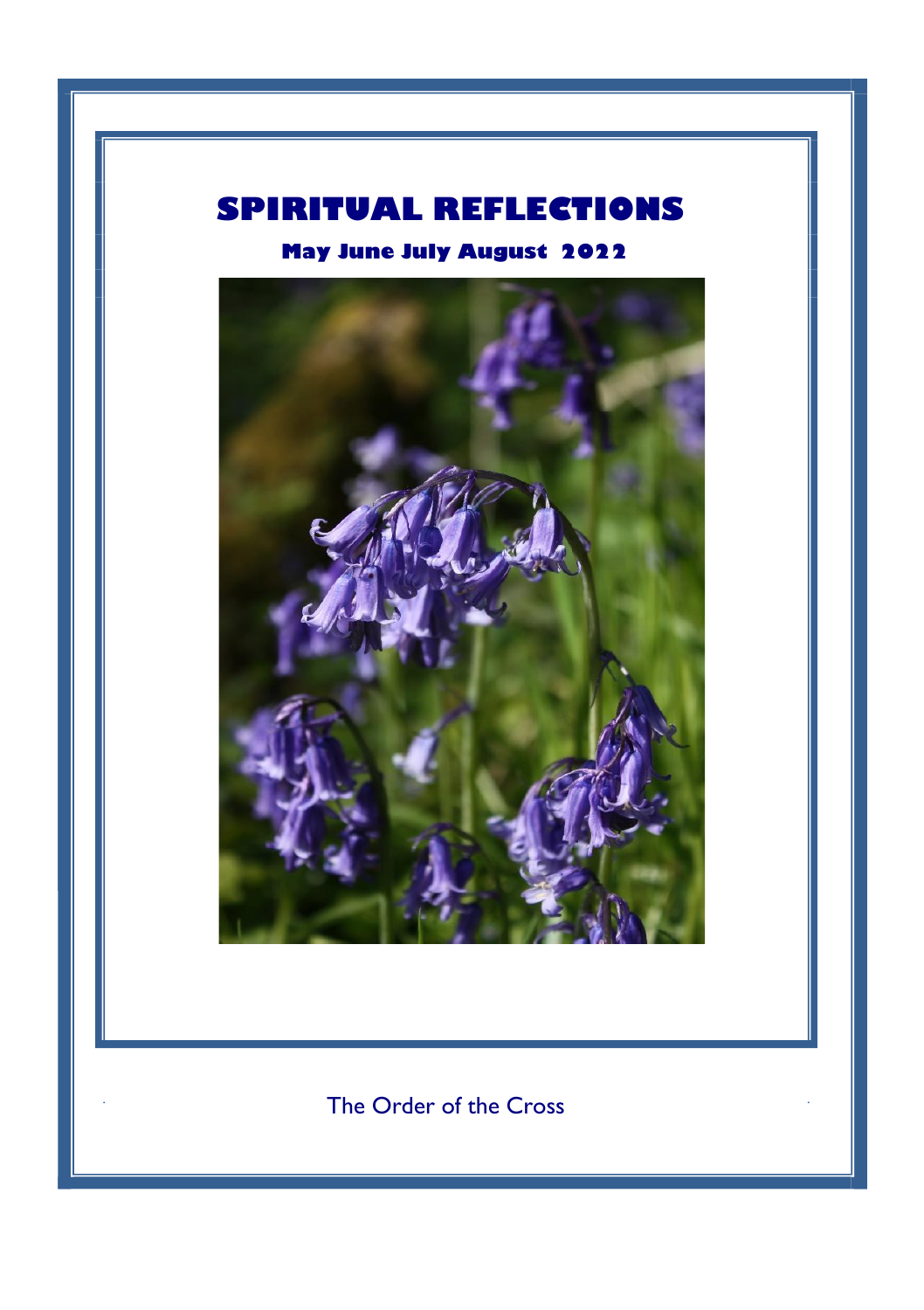# **SPIRITUAL REFLECTIONS**

**May June July August 2022**



The Order of the Cross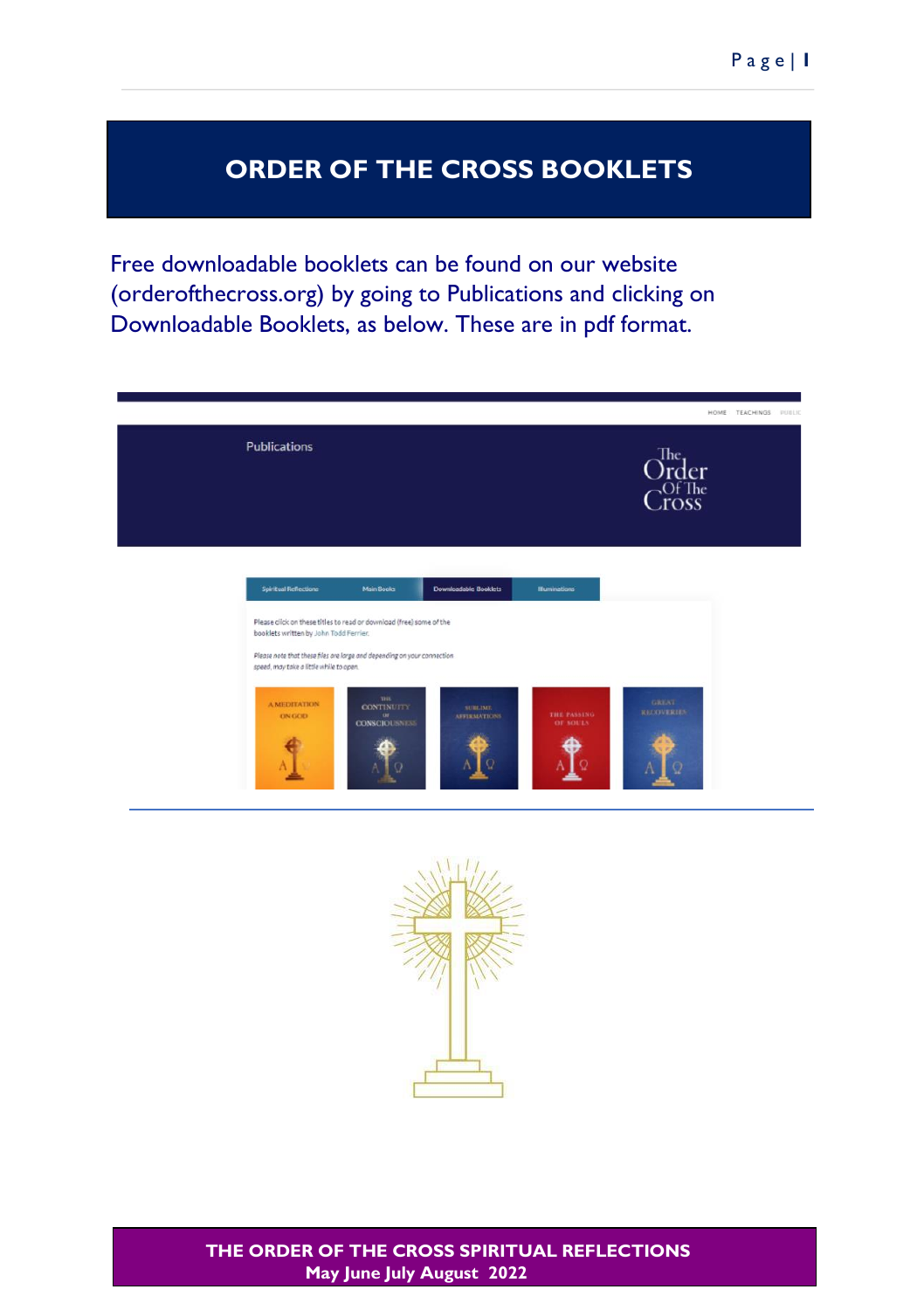## **ORDER OF THE CROSS BOOKLETS**

Free downloadable booklets can be found on our website (orderofthecross.org) by going to Publications and clicking on Downloadable Booklets, as below. These are in pdf format.



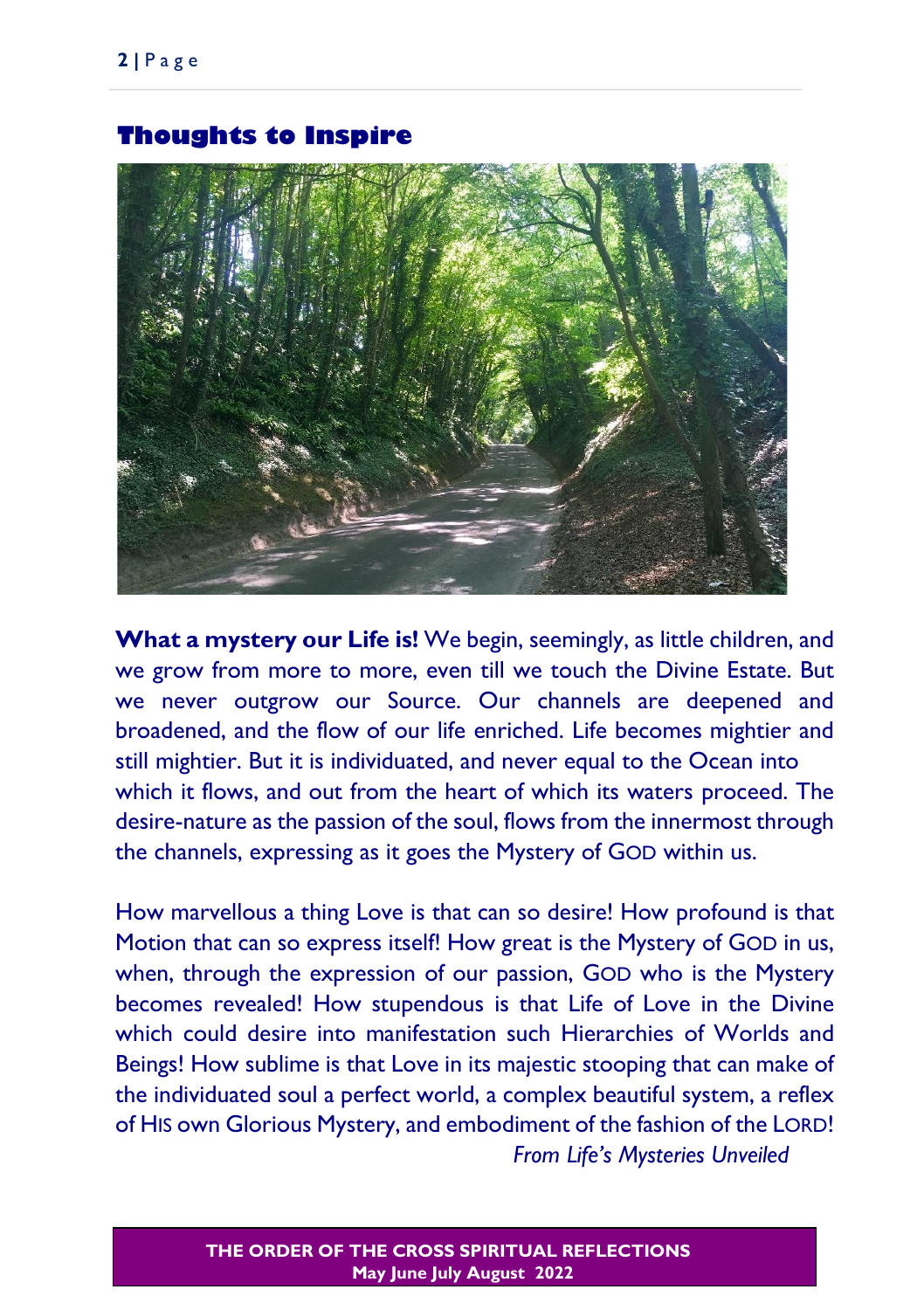What a mystery our Life is! We begin, seemingly, as little children, and we grow from more to more, even till we touch the Divine Estate. But we never outgrow our Source. Our channels are deepened and broadened, and the flow of our life enriched. Life becomes mightier and still mightier. But it is individuated, and never equal to the Ocean into which it flows, and out from the heart of which its waters proceed. The desire-nature as the passion of the soul, flows from the innermost through the channels, expressing as it goes the Mystery of GOD within us.

How marvellous a thing Love is that can so desire! How profound is that Motion that can so express itself! How great is the Mystery of GOD in us, when, through the expression of our passion, GOD who is the Mystery becomes revealed! How stupendous is that Life of Love in the Divine which could desire into manifestation such Hierarchies of Worlds and Beings! How sublime is that Love in its majestic stooping that can make of the individuated soul a perfect world, a complex beautiful system, a reflex of HIS own Glorious Mystery, and embodiment of the fashion of the LORD! *From Life's Mysteries Unveiled* 

### **Thoughts to Inspire**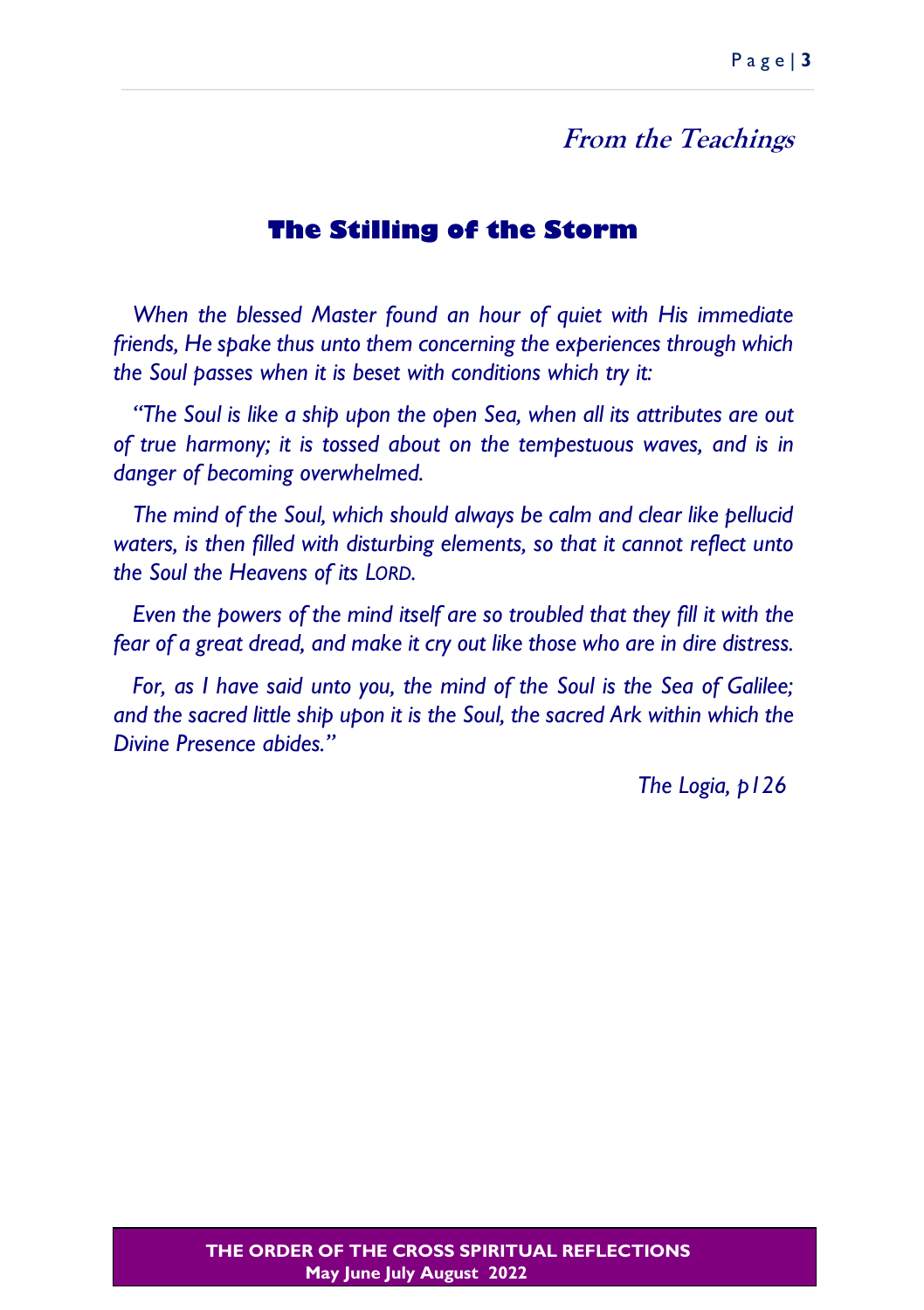### **From the Teachings**

### **The Stilling of the Storm**

*When the blessed Master found an hour of quiet with His immediate friends, He spake thus unto them concerning the experiences through which the Soul passes when it is beset with conditions which try it:*

*"The Soul is like a ship upon the open Sea, when all its attributes are out of true harmony; it is tossed about on the tempestuous waves, and is in danger of becoming overwhelmed.*

*The mind of the Soul, which should always be calm and clear like pellucid*  waters, is then filled with disturbing elements, so that it cannot reflect unto *the Soul the Heavens of its LORD.*

*Even the powers of the mind itself are so troubled that they fill it with the fear of a great dread, and make it cry out like those who are in dire distress.*

*For, as I have said unto you, the mind of the Soul is the Sea of Galilee; and the sacred little ship upon it is the Soul, the sacred Ark within which the Divine Presence abides."*

*The Logia, p126*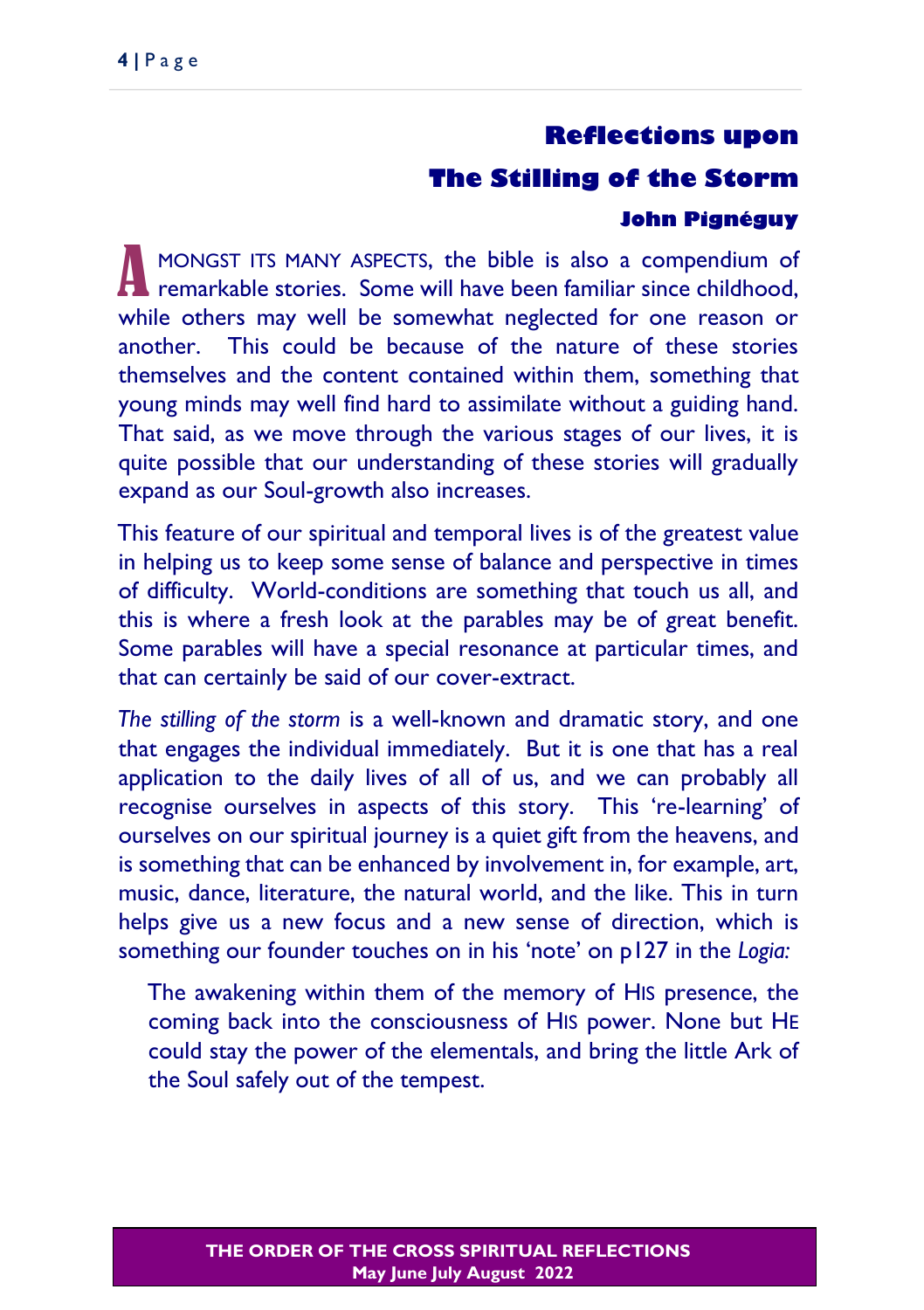### **Reflections upon**

### **The Stilling of the Storm**

### **John Pignéguy**

MONGST ITS MANY ASPECTS, the bible is also a compendium of MONGST ITS MANY ASPECTS, the bible is also a compendium of remarkable stories. Some will have been familiar since childhood, while others may well be somewhat neglected for one reason or another. This could be because of the nature of these stories themselves and the content contained within them, something that young minds may well find hard to assimilate without a guiding hand. That said, as we move through the various stages of our lives, it is quite possible that our understanding of these stories will gradually expand as our Soul-growth also increases.

This feature of our spiritual and temporal lives is of the greatest value in helping us to keep some sense of balance and perspective in times of difficulty. World-conditions are something that touch us all, and this is where a fresh look at the parables may be of great benefit. Some parables will have a special resonance at particular times, and that can certainly be said of our cover-extract.

*The stilling of the storm* is a well-known and dramatic story, and one that engages the individual immediately. But it is one that has a real application to the daily lives of all of us, and we can probably all recognise ourselves in aspects of this story. This 're-learning' of ourselves on our spiritual journey is a quiet gift from the heavens, and is something that can be enhanced by involvement in, for example, art, music, dance, literature, the natural world, and the like. This in turn helps give us a new focus and a new sense of direction, which is something our founder touches on in his 'note' on p127 in the *Logia:*

The awakening within them of the memory of HIS presence, the coming back into the consciousness of HIS power. None but HE could stay the power of the elementals, and bring the little Ark of the Soul safely out of the tempest.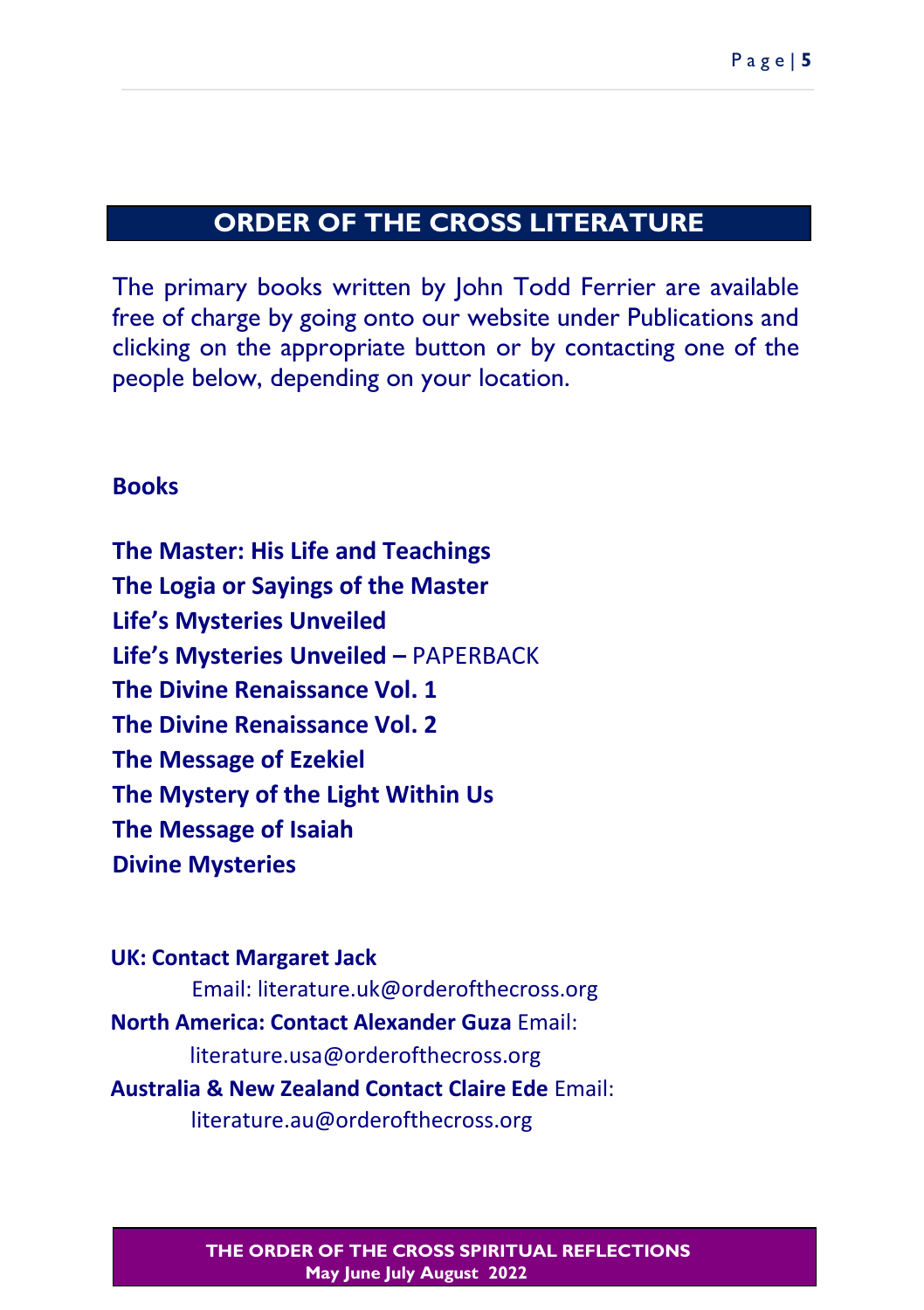# **ORDER OF THE CROSS LITERATURE**

The primary books written by John Todd Ferrier are available free of charge by going onto our website under Publications and clicking on the appropriate button or by contacting one of the people below, depending on your location.

### **Books**

**The Master: His Life and Teachings The Logia or Sayings of the Master Life's Mysteries Unveiled Life's Mysteries Unveiled –** PAPERBACK **The Divine Renaissance Vol. 1 The Divine Renaissance Vol. 2 The Message of Ezekiel The Mystery of the Light Within Us The Message of Isaiah Divine Mysteries** 

**UK: Contact Margaret Jack**  Email: literature.uk@orderofthecross.org **North America: Contact Alexander Guza** Email: literature.usa@orderofthecross.org **Australia & New Zealand Contact Claire Ede** Email: literature.au@orderofthecross.org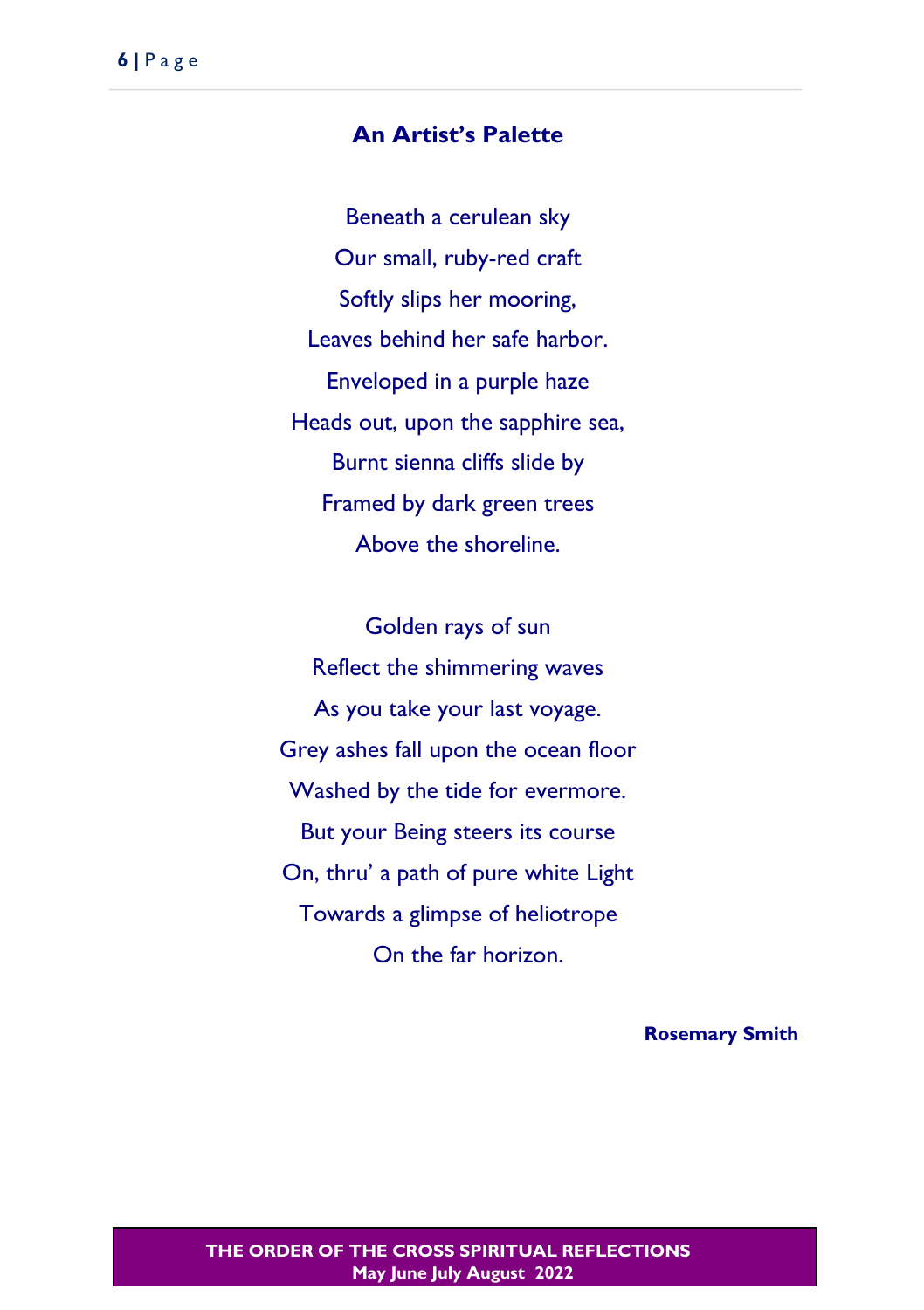### **An Artist's Palette**

Beneath a cerulean sky Our small, ruby-red craft Softly slips her mooring, Leaves behind her safe harbor. Enveloped in a purple haze Heads out, upon the sapphire sea, Burnt sienna cliffs slide by Framed by dark green trees Above the shoreline.

Golden rays of sun Reflect the shimmering waves As you take your last voyage. Grey ashes fall upon the ocean floor Washed by the tide for evermore. But your Being steers its course On, thru' a path of pure white Light Towards a glimpse of heliotrope On the far horizon.

**Rosemary Smith**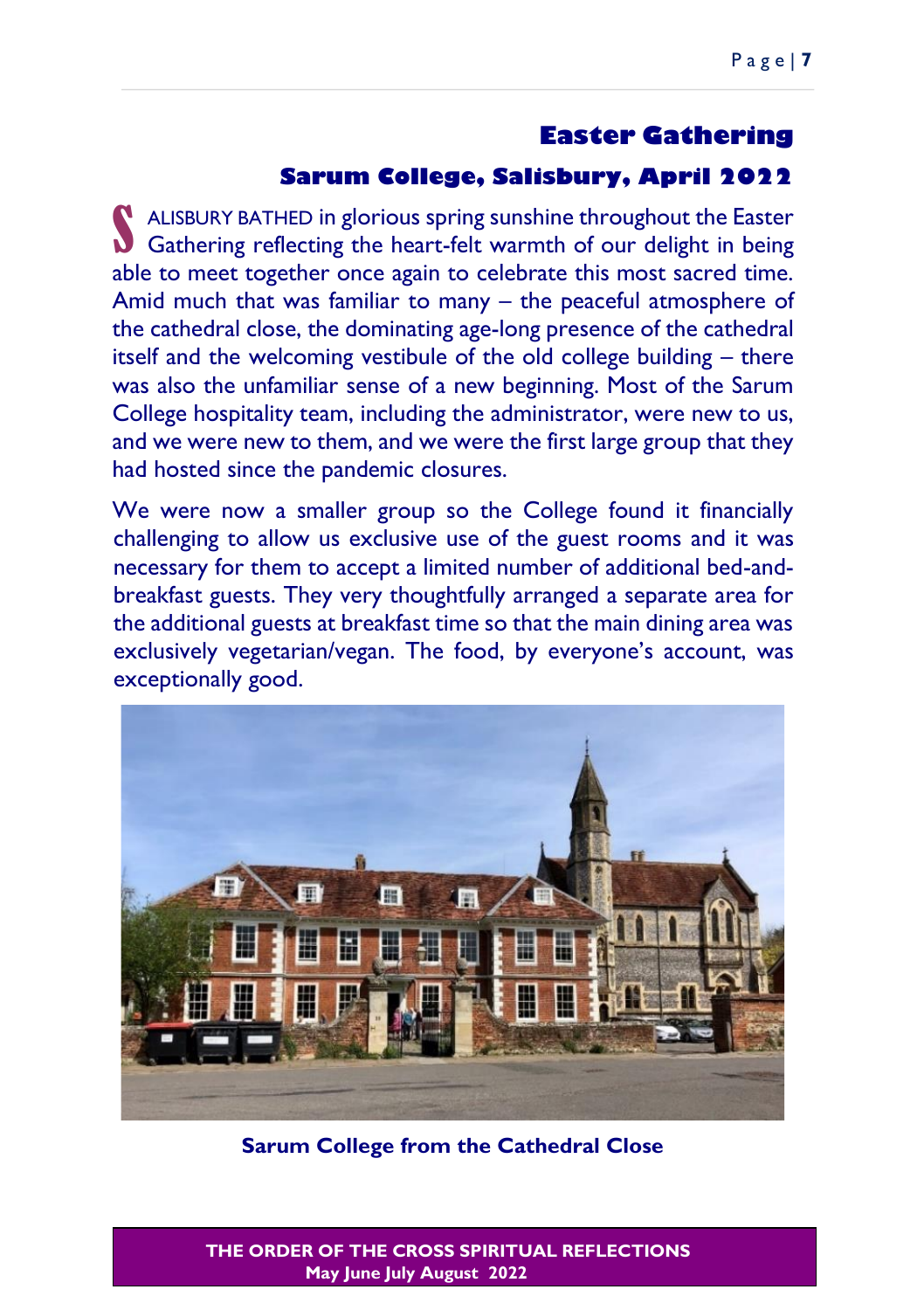### **Easter Gathering**

### **Sarum College, Salisbury, April 2022**

ALISBURY BATHED in glorious spring sunshine throughout the Easter ALISBURY BATHED in glorious spring sunshine throughout the Easter<br>Gathering reflecting the heart-felt warmth of our delight in being able to meet together once again to celebrate this most sacred time. Amid much that was familiar to many – the peaceful atmosphere of the cathedral close, the dominating age-long presence of the cathedral itself and the welcoming vestibule of the old college building – there was also the unfamiliar sense of a new beginning. Most of the Sarum College hospitality team, including the administrator, were new to us, and we were new to them, and we were the first large group that they had hosted since the pandemic closures.

We were now a smaller group so the College found it financially challenging to allow us exclusive use of the guest rooms and it was necessary for them to accept a limited number of additional bed-andbreakfast guests. They very thoughtfully arranged a separate area for the additional guests at breakfast time so that the main dining area was exclusively vegetarian/vegan. The food, by everyone's account, was exceptionally good.



**Sarum College from the Cathedral Close**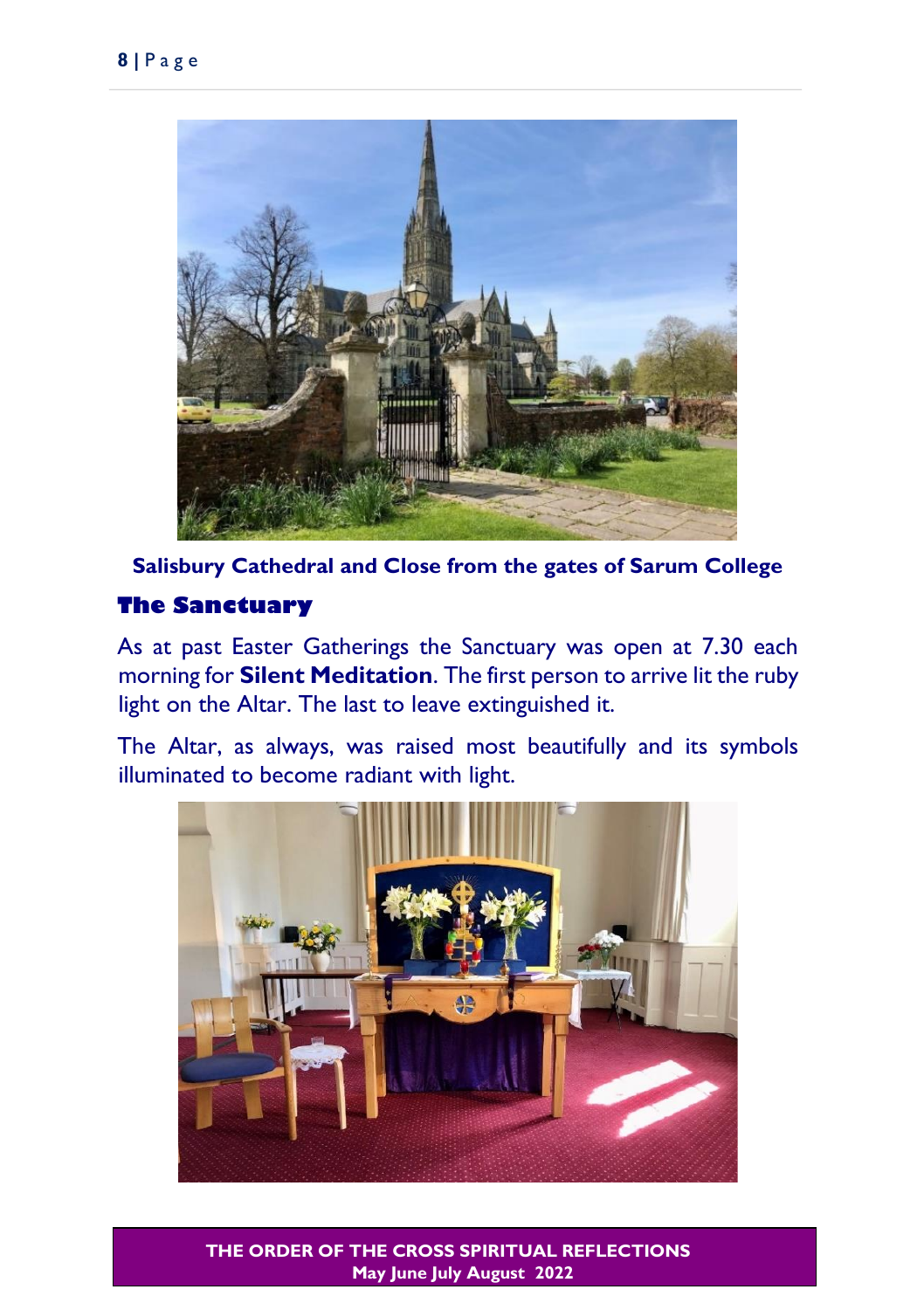

**Salisbury Cathedral and Close from the gates of Sarum College**

### **The Sanctuary**

As at past Easter Gatherings the Sanctuary was open at 7.30 each morning for **Silent Meditation**. The first person to arrive lit the ruby light on the Altar. The last to leave extinguished it.

The Altar, as always, was raised most beautifully and its symbols illuminated to become radiant with light.

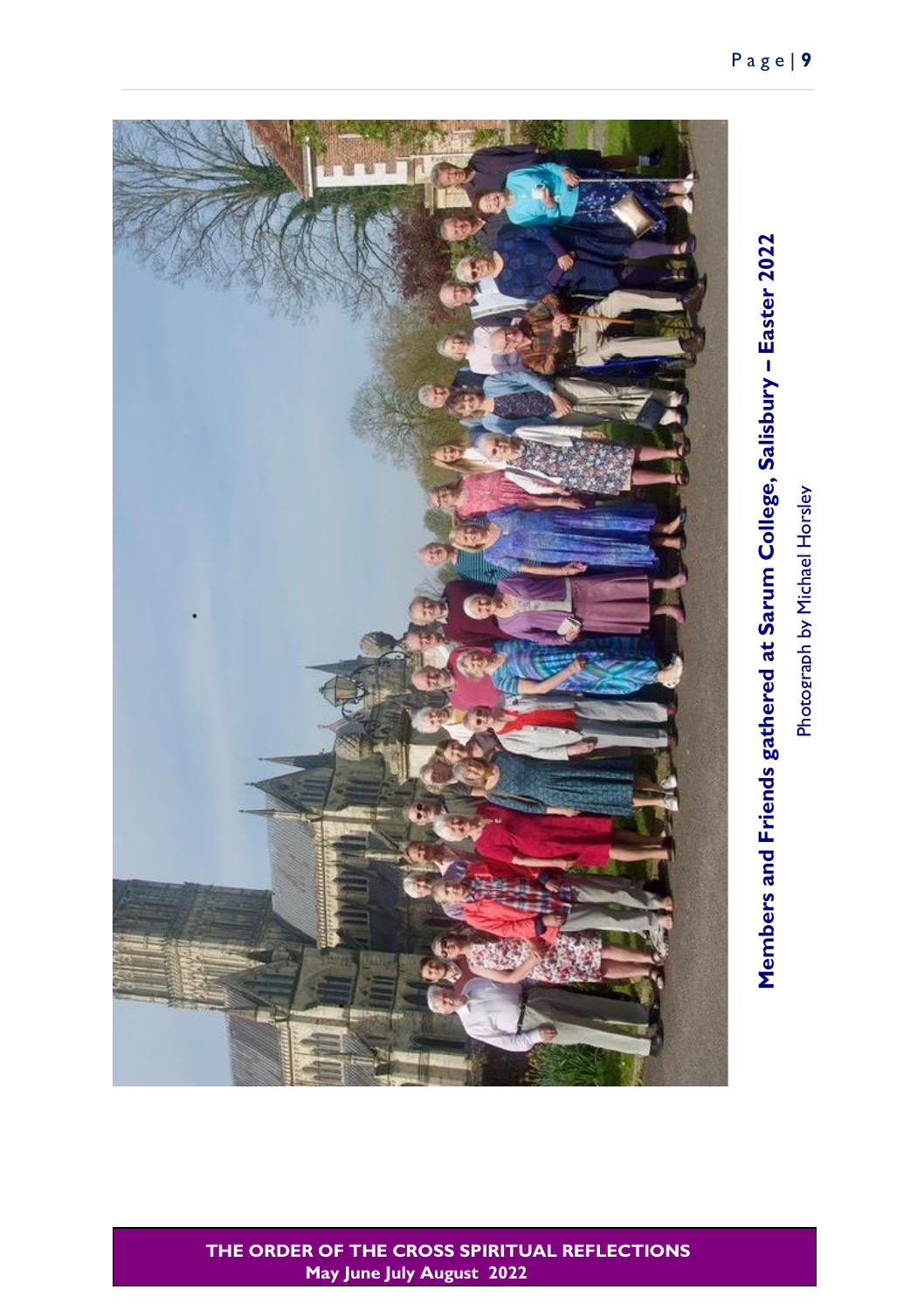

# Photograph by Michael Horsley Photograph by Michael Horsley

Members and Friends gathered at Sarum College, Salisbury - Easter 2022 **– Easter 2022 Members and Friends gathered at Sarum College, Salisbury**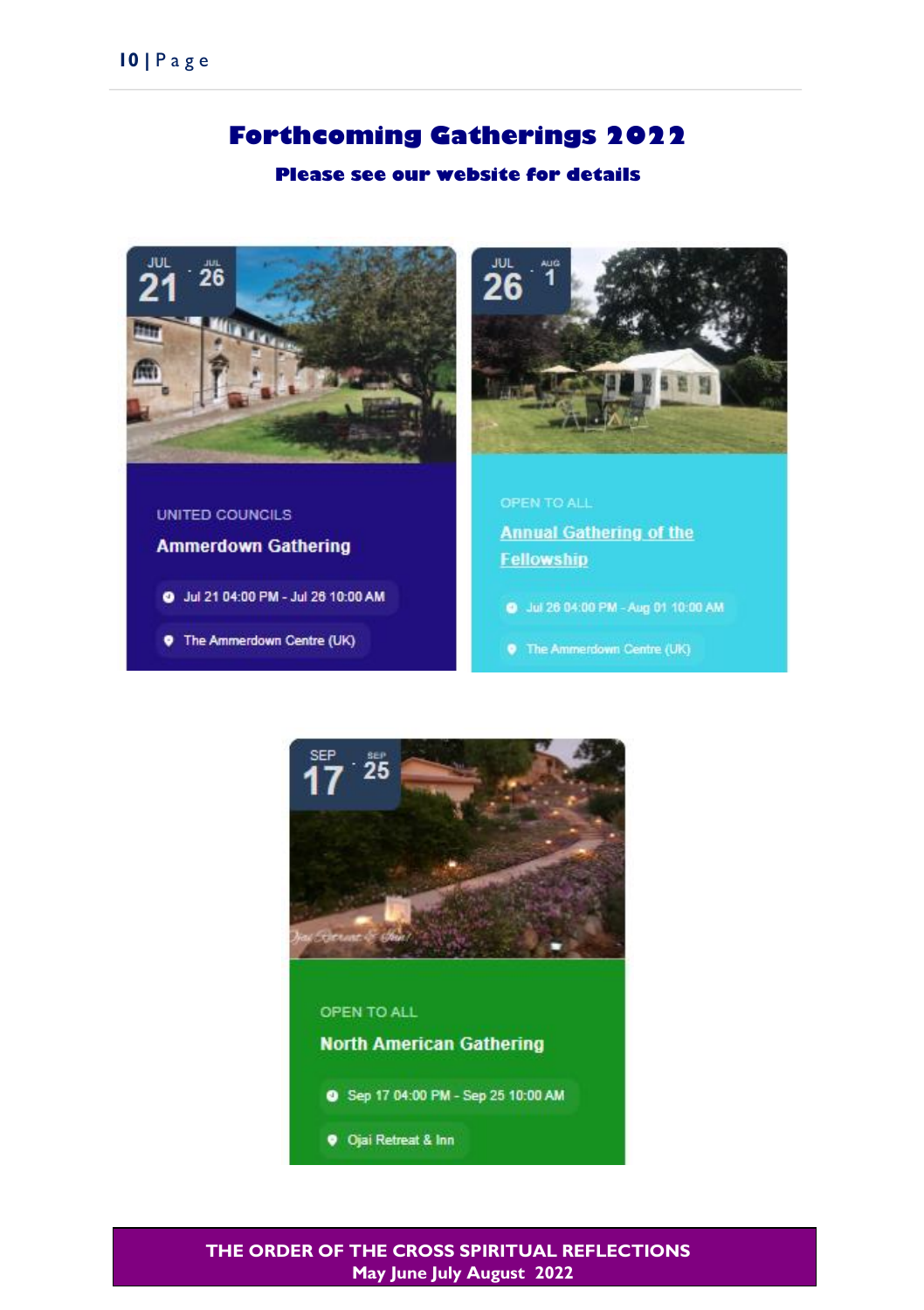### **Forthcoming Gatherings 2022**

### **Please see our website for details**



UNITED COUNCILS

**Ammerdown Gathering** 

- O Jul 21 04:00 PM Jul 26 10:00 AM
- **9** The Ammerdown Centre (UK)



# **Annual Gathering of the** Fellowship

- @ Jul 26 04:00 PM Aug 01 10:00 AM
- 



### **North American Gathering**

- Sep 17 04:00 PM Sep 25 10:00 AM
- **9** Ojai Retreat & Inn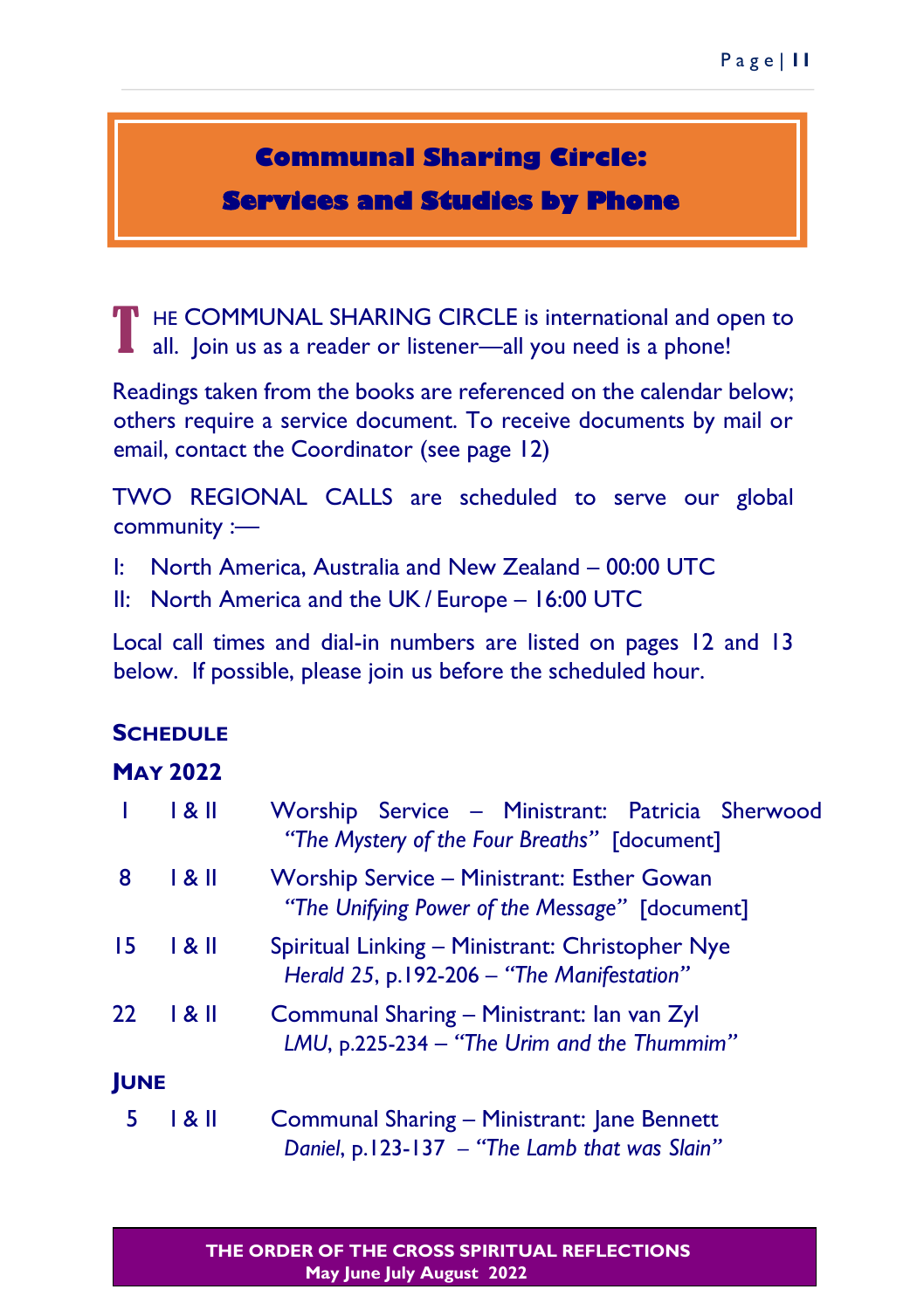# **Communal Sharing Circle:**

**Services and Studies by Phone** 

HE COMMUNAL SHARING CIRCLE is international and open to all. Join us as a reader or listener—all you need is a phone! T

Readings taken from the books are referenced on the calendar below; others require a service document. To receive documents by mail or email, contact the Coordinator (see page 12)

TWO REGIONAL CALLS are scheduled to serve our global community :—

I: North America, Australia and New Zealand – 00:00 UTC

II: North America and the UK / Europe – 16:00 UTC

Local call times and dial-in numbers are listed on pages 12 and 13 below. If possible, please join us before the scheduled hour.

### **SCHEDULE**

### **MAY 2022**

|             | 1 & II | Worship Service - Ministrant: Patricia Sherwood<br>"The Mystery of the Four Breaths" [document]     |  |  |
|-------------|--------|-----------------------------------------------------------------------------------------------------|--|--|
| 8           | 1 & II | <b>Worship Service - Ministrant: Esther Gowan</b><br>"The Unifying Power of the Message" [document] |  |  |
| 15          | 1 & II | Spiritual Linking - Ministrant: Christopher Nye<br>Herald 25, p.192-206 - "The Manifestation"       |  |  |
| $22 \,$     | 1 & II | Communal Sharing - Ministrant: Ian van Zyl<br>LMU, p.225-234 - "The Urim and the Thummim"           |  |  |
| <b>JUNE</b> |        |                                                                                                     |  |  |
| е           |        | Campaignal Chappen Ministranti Jana Dannatt                                                         |  |  |

 5 I & II Communal Sharing – Ministrant: Jane Bennett *Daniel*, p.123-137 *– "The Lamb that was Slain"*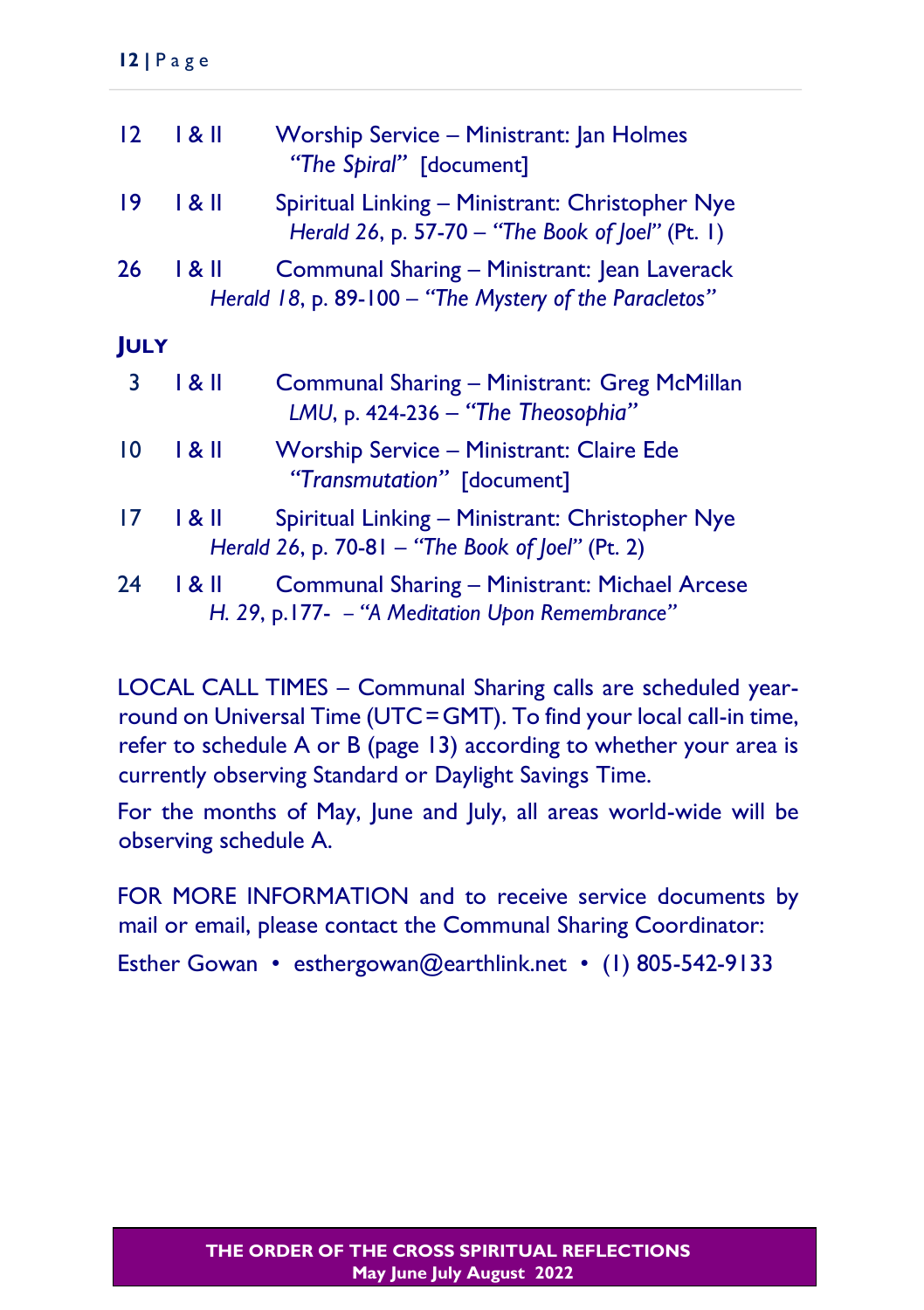| $12 \overline{ }$ | 1 & II | Worship Service - Ministrant: Jan Holmes<br>"The Spiral" [document]                                    |
|-------------------|--------|--------------------------------------------------------------------------------------------------------|
| 19                | 181    | Spiritual Linking - Ministrant: Christopher Nye<br>Herald 26, p. 57-70 - "The Book of Joel" (Pt. 1)    |
| 26                | 1 & II | Communal Sharing - Ministrant: Jean Laverack<br>Herald 18, p. 89-100 - "The Mystery of the Paracletos" |
| <b>JULY</b>       |        |                                                                                                        |
| 3                 | 1 & II | Communal Sharing - Ministrant: Greg McMillan<br>LMU, p. 424-236 - "The Theosophia"                     |
| 10                | 1 & II | <b>Worship Service - Ministrant: Claire Ede</b><br>"Transmutation" [document]                          |
| 17                | 1 & II | Spiritual Linking - Ministrant: Christopher Nye<br>Herald 26, p. 70-81 - "The Book of $[oeI" (Pt. 2)]$ |
| 24                | 1 & II | Communal Sharing - Ministrant: Michael Arcese<br>H. 29, p.177- - "A Meditation Upon Remembrance"       |

LOCAL CALL TIMES – Communal Sharing calls are scheduled yearround on Universal Time (UTC=GMT). To find your local call-in time, refer to schedule A or B (page 13) according to whether your area is currently observing Standard or Daylight Savings Time.

For the months of May, June and July, all areas world-wide will be observing schedule A.

FOR MORE INFORMATION and to receive service documents by mail or email, please contact the Communal Sharing Coordinator:

Esther Gowan • esthergowan@earthlink.net • (1) 805-542-9133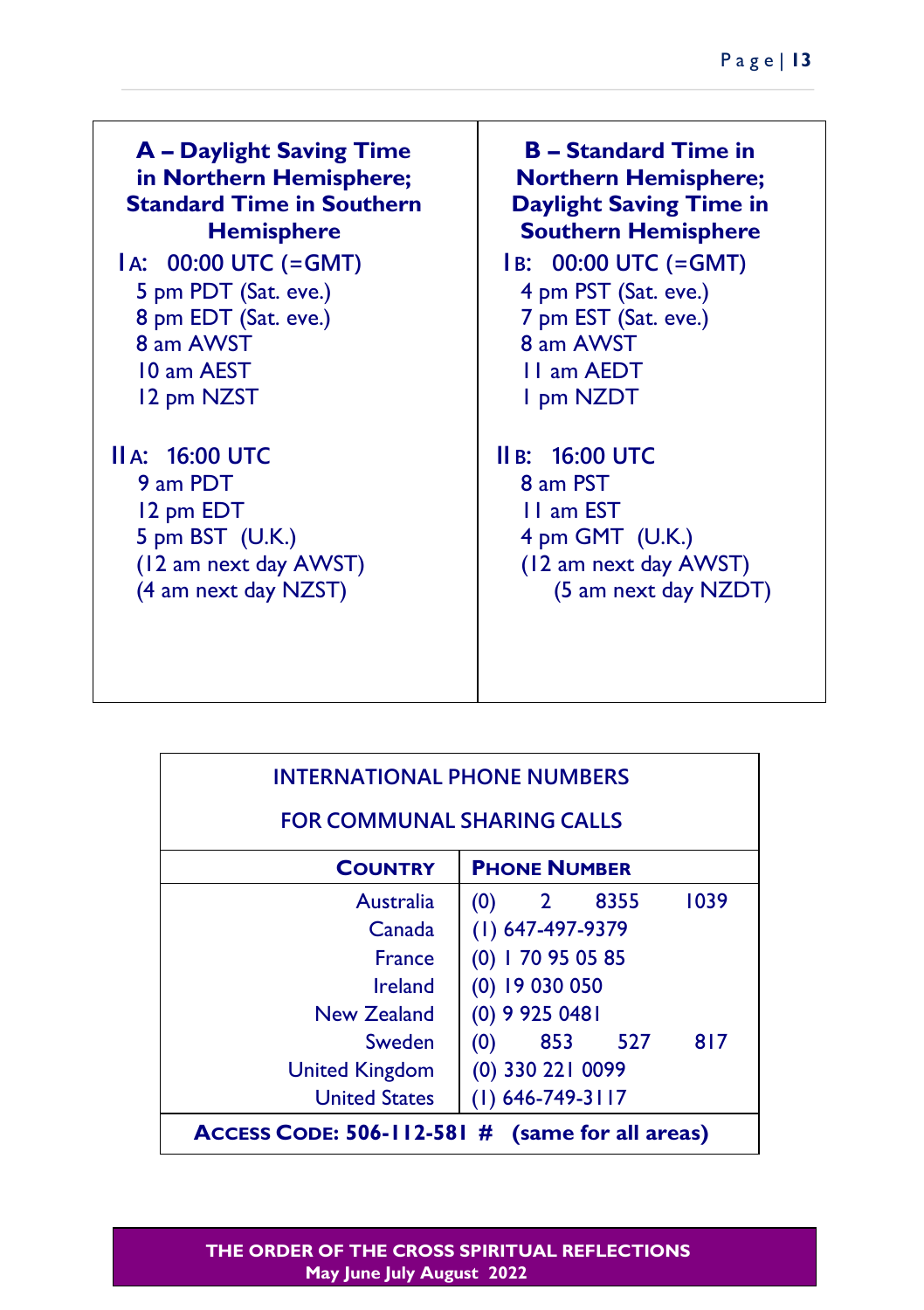**A – Daylight Saving Time in Northern Hemisphere; Standard Time in Southern Hemisphere I A: 00:00 UTC (=GMT)** 5 pm PDT (Sat. eve.) 8 pm EDT (Sat. eve.) 8 am AWST 10 am AEST 12 pm NZST **II A: 16:00 UTC** 9 am PDT 12 pm EDT 5 pm BST (U.K.) (12 am next day AWST) (4 am next day NZST) **B – Standard Time in Northern Hemisphere; Daylight Saving Time in Southern Hemisphere I B: 00:00 UTC (=GMT)** 4 pm PST (Sat. eve.) 7 pm EST (Sat. eve.) 8 am AWST 11 am AEDT 1 pm NZDT **II B: 16:00 UTC** 8 am PST 11 am EST 4 pm GMT (U.K.) (12 am next day AWST) (5 am next day NZDT)

| <b>INTERNATIONAL PHONE NUMBERS</b>              |                            |  |  |  |  |
|-------------------------------------------------|----------------------------|--|--|--|--|
| <b>FOR COMMUNAL SHARING CALLS</b>               |                            |  |  |  |  |
| <b>COUNTRY</b>                                  | <b>PHONE NUMBER</b>        |  |  |  |  |
| Australia                                       | 1039<br>2 8355<br>(0)      |  |  |  |  |
| Canada                                          | $(1)$ 647-497-9379         |  |  |  |  |
| <b>France</b>                                   | $(0)$   70 95 05 85        |  |  |  |  |
| Ireland                                         | $(0)$ 19 030 050           |  |  |  |  |
| New Zealand                                     | $(0)$ 9 925 0481           |  |  |  |  |
| Sweden                                          | 817<br>853<br>- 527<br>(0) |  |  |  |  |
| <b>United Kingdom</b>                           | (0) 330 221 0099           |  |  |  |  |
| <b>United States</b>                            | $(1)$ 646-749-3117         |  |  |  |  |
| ACCESS CODE: 506-112-581 # (same for all areas) |                            |  |  |  |  |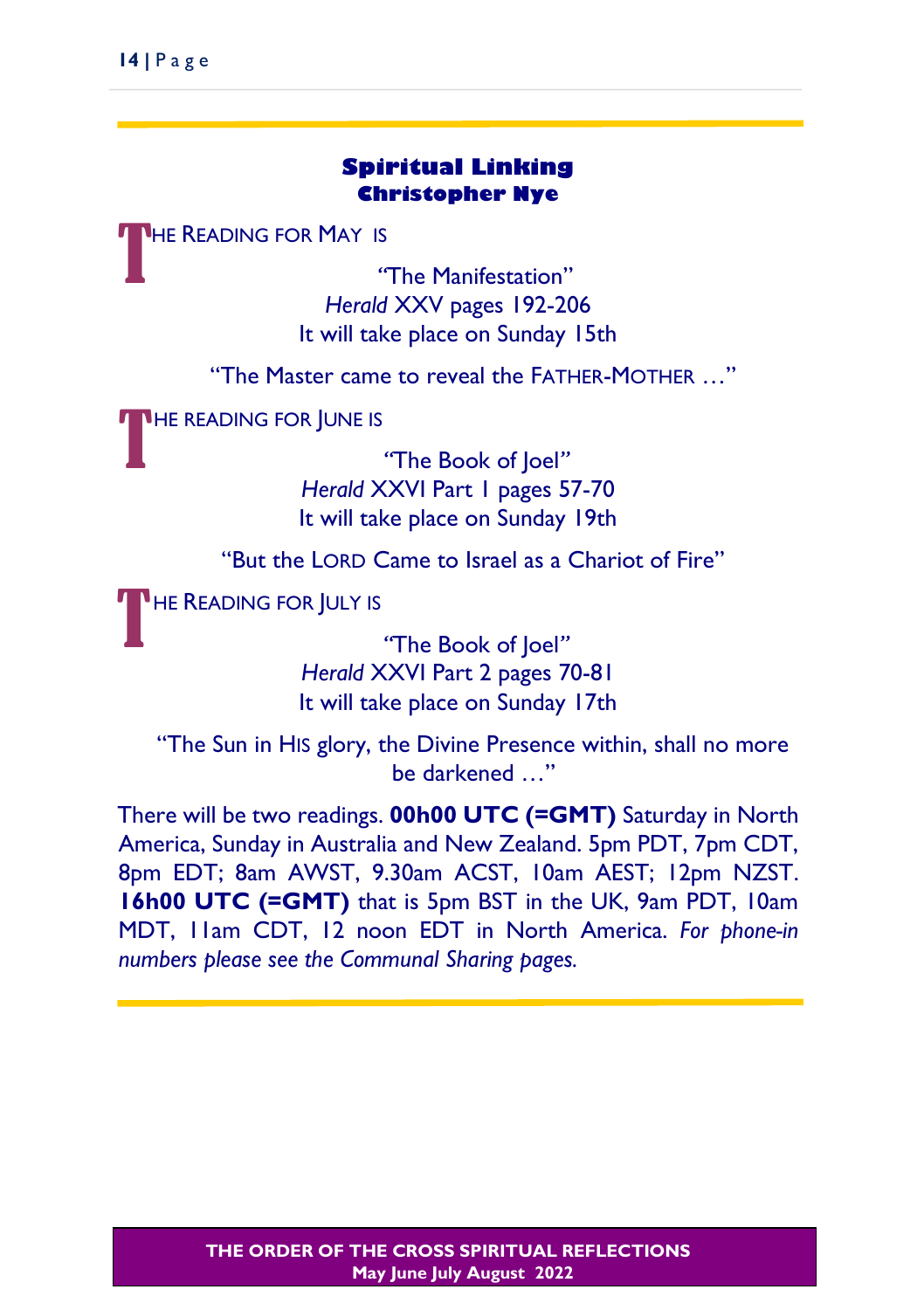### **Spiritual Linking Christopher Nye**

**HE READING FOR MAY IS** T

*"*The Manifestation" *Herald* XXV pages 192-206 It will take place on Sunday 15th

"The Master came to reveal the FATHER-MOTHER …"

THE READING FOR JUNE IS

*"*The Book of Joel*" Herald* XXVI Part 1 pages 57-70 It will take place on Sunday 19th

"But the LORD Came to Israel as a Chariot of Fire"

**HE READING FOR JULY IS** T

*"*The Book of Joel*" Herald* XXVI Part 2 pages 70-81 It will take place on Sunday 17th

"The Sun in HIS glory, the Divine Presence within, shall no more be darkened …"

There will be two readings. **00h00 UTC (=GMT)** Saturday in North America, Sunday in Australia and New Zealand. 5pm PDT, 7pm CDT, 8pm EDT; 8am AWST, 9.30am ACST, 10am AEST; 12pm NZST. **16h00 UTC (=GMT)** that is 5pm BST in the UK, 9am PDT, 10am MDT, 11am CDT, 12 noon EDT in North America. *For phone-in numbers please see the Communal Sharing pages.*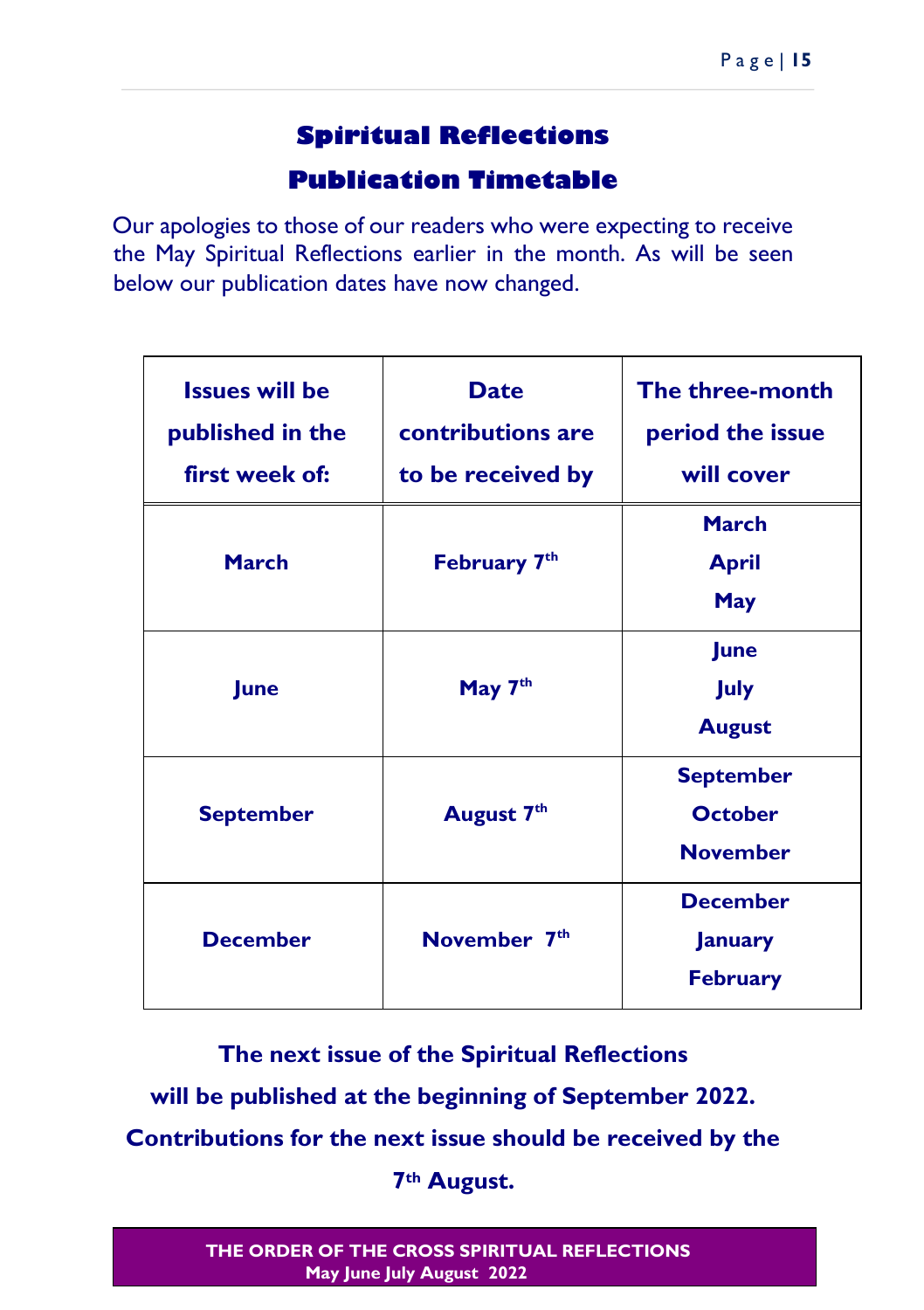## **Spiritual Reflections**

### **Publication Timetable**

Our apologies to those of our readers who were expecting to receive the May Spiritual Reflections earlier in the month. As will be seen below our publication dates have now changed.

| <b>Issues will be</b><br>published in the<br>first week of: | <b>Date</b><br>contributions are<br>to be received by | The three-month<br>period the issue<br>will cover     |
|-------------------------------------------------------------|-------------------------------------------------------|-------------------------------------------------------|
| <b>March</b>                                                | February 7 <sup>th</sup>                              | March<br><b>April</b><br><b>May</b>                   |
| June                                                        | May 7 <sup>th</sup>                                   | <b>June</b><br>July<br><b>August</b>                  |
| <b>September</b>                                            | August 7 <sup>th</sup>                                | <b>September</b><br><b>October</b><br><b>November</b> |
| <b>December</b>                                             | November 7 <sup>th</sup>                              | <b>December</b><br><b>January</b><br><b>February</b>  |

**The next issue of the Spiritual Reflections will be published at the beginning of September 2022. Contributions for the next issue should be received by the 7th August.**